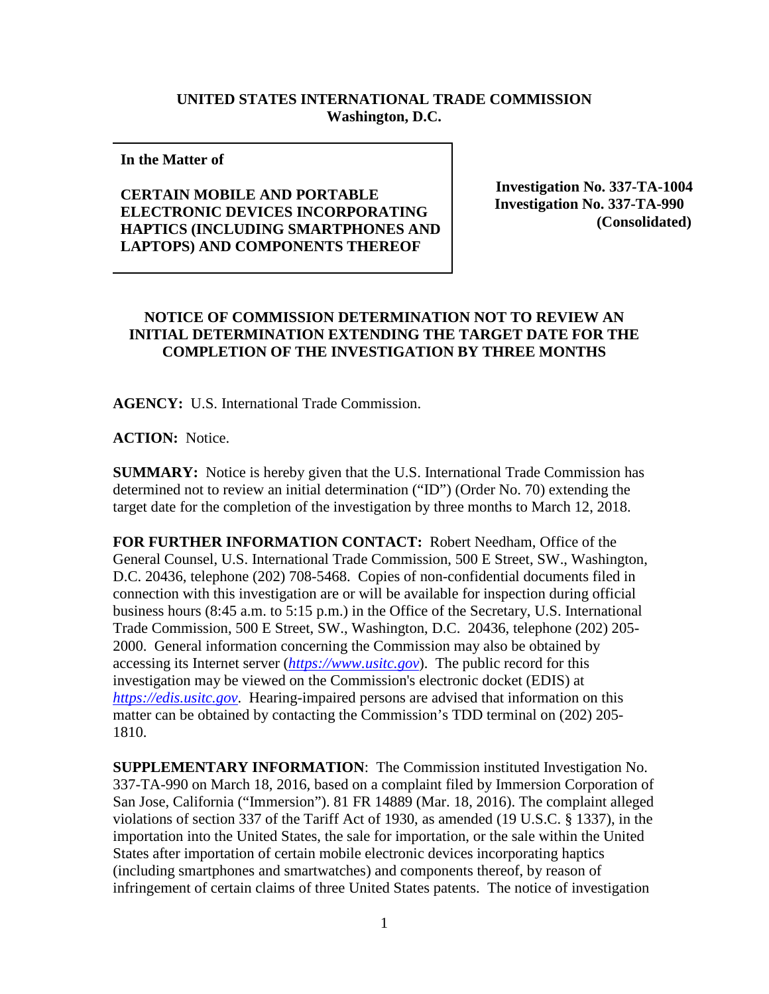## **UNITED STATES INTERNATIONAL TRADE COMMISSION Washington, D.C.**

## **In the Matter of**

## **CERTAIN MOBILE AND PORTABLE ELECTRONIC DEVICES INCORPORATING HAPTICS (INCLUDING SMARTPHONES AND LAPTOPS) AND COMPONENTS THEREOF**

**Investigation No. 337-TA-1004 Investigation No. 337-TA-990 (Consolidated)**

## **NOTICE OF COMMISSION DETERMINATION NOT TO REVIEW AN INITIAL DETERMINATION EXTENDING THE TARGET DATE FOR THE COMPLETION OF THE INVESTIGATION BY THREE MONTHS**

**AGENCY:** U.S. International Trade Commission.

**ACTION:** Notice.

**SUMMARY:** Notice is hereby given that the U.S. International Trade Commission has determined not to review an initial determination ("ID") (Order No. 70) extending the target date for the completion of the investigation by three months to March 12, 2018.

**FOR FURTHER INFORMATION CONTACT:** Robert Needham, Office of the General Counsel, U.S. International Trade Commission, 500 E Street, SW., Washington, D.C. 20436, telephone (202) 708-5468. Copies of non-confidential documents filed in connection with this investigation are or will be available for inspection during official business hours (8:45 a.m. to 5:15 p.m.) in the Office of the Secretary, U.S. International Trade Commission, 500 E Street, SW., Washington, D.C. 20436, telephone (202) 205- 2000. General information concerning the Commission may also be obtained by accessing its Internet server (*[https://www.usitc.gov](https://www.usitc.gov/)*). The public record for this investigation may be viewed on the Commission's electronic docket (EDIS) at *[https://edis.usitc.gov](https://edis.usitc.gov/)*. Hearing-impaired persons are advised that information on this matter can be obtained by contacting the Commission's TDD terminal on (202) 205- 1810.

**SUPPLEMENTARY INFORMATION**: The Commission instituted Investigation No. 337-TA-990 on March 18, 2016, based on a complaint filed by Immersion Corporation of San Jose, California ("Immersion"). 81 FR 14889 (Mar. 18, 2016). The complaint alleged violations of section 337 of the Tariff Act of 1930, as amended (19 U.S.C. § 1337), in the importation into the United States, the sale for importation, or the sale within the United States after importation of certain mobile electronic devices incorporating haptics (including smartphones and smartwatches) and components thereof, by reason of infringement of certain claims of three United States patents. The notice of investigation